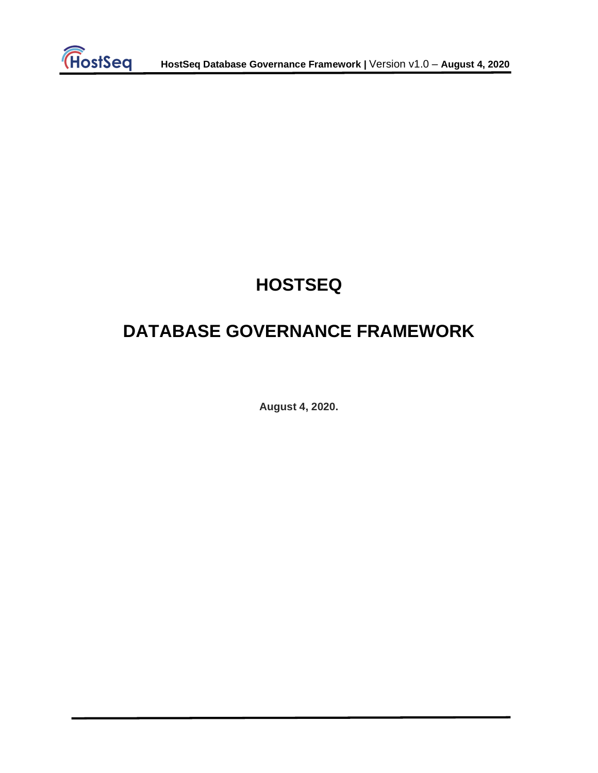

# **HOSTSEQ**

# **DATABASE GOVERNANCE FRAMEWORK**

**August 4, 2020.**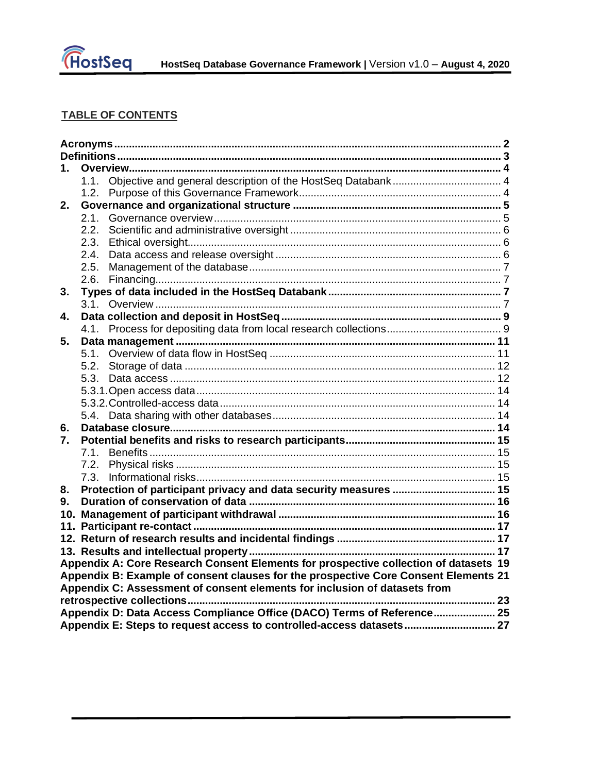

# TABLE OF CONTENTS

| 1.                                                                                  |                                                                                      |  |  |  |
|-------------------------------------------------------------------------------------|--------------------------------------------------------------------------------------|--|--|--|
|                                                                                     | 1.1.                                                                                 |  |  |  |
|                                                                                     | 1.2.                                                                                 |  |  |  |
| 2.                                                                                  |                                                                                      |  |  |  |
|                                                                                     | 2.1.                                                                                 |  |  |  |
|                                                                                     | 2.2.                                                                                 |  |  |  |
|                                                                                     | 2.3.                                                                                 |  |  |  |
|                                                                                     | 2.4.                                                                                 |  |  |  |
|                                                                                     | 2.5.                                                                                 |  |  |  |
|                                                                                     | 2.6.                                                                                 |  |  |  |
| 3.                                                                                  |                                                                                      |  |  |  |
|                                                                                     | 3.1                                                                                  |  |  |  |
| 4.                                                                                  |                                                                                      |  |  |  |
|                                                                                     | 4.1.                                                                                 |  |  |  |
| 5.                                                                                  |                                                                                      |  |  |  |
|                                                                                     |                                                                                      |  |  |  |
|                                                                                     | 5.2.                                                                                 |  |  |  |
|                                                                                     |                                                                                      |  |  |  |
|                                                                                     |                                                                                      |  |  |  |
|                                                                                     |                                                                                      |  |  |  |
|                                                                                     |                                                                                      |  |  |  |
| 6.                                                                                  |                                                                                      |  |  |  |
| $\mathbf{7}_{-}$                                                                    |                                                                                      |  |  |  |
|                                                                                     | 7.1.                                                                                 |  |  |  |
|                                                                                     | 7.2.                                                                                 |  |  |  |
|                                                                                     | 7.3.                                                                                 |  |  |  |
| 8.                                                                                  |                                                                                      |  |  |  |
| 9.                                                                                  |                                                                                      |  |  |  |
|                                                                                     |                                                                                      |  |  |  |
|                                                                                     |                                                                                      |  |  |  |
|                                                                                     |                                                                                      |  |  |  |
|                                                                                     |                                                                                      |  |  |  |
|                                                                                     | Appendix A: Core Research Consent Elements for prospective collection of datasets 19 |  |  |  |
| Appendix B: Example of consent clauses for the prospective Core Consent Elements 21 |                                                                                      |  |  |  |
| Appendix C: Assessment of consent elements for inclusion of datasets from           |                                                                                      |  |  |  |
|                                                                                     |                                                                                      |  |  |  |
|                                                                                     | Appendix D: Data Access Compliance Office (DACO) Terms of Reference 25               |  |  |  |
|                                                                                     |                                                                                      |  |  |  |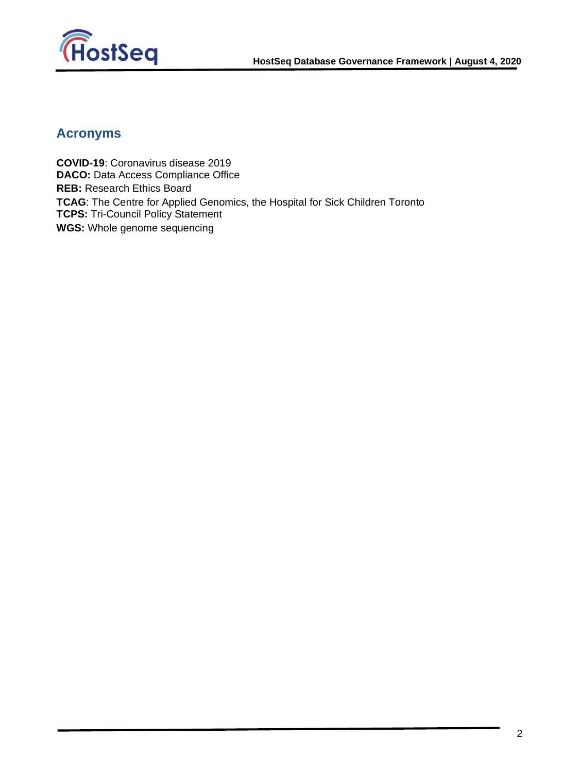

# <span id="page-2-0"></span>**Acronyms**

**COVID-19**: Coronavirus disease 2019 **DACO:** Data Access Compliance Office **REB:** Research Ethics Board **TCAG**: The Centre for Applied Genomics, the Hospital for Sick Children Toronto **TCPS:** Tri-Council Policy Statement **WGS:** Whole genome sequencing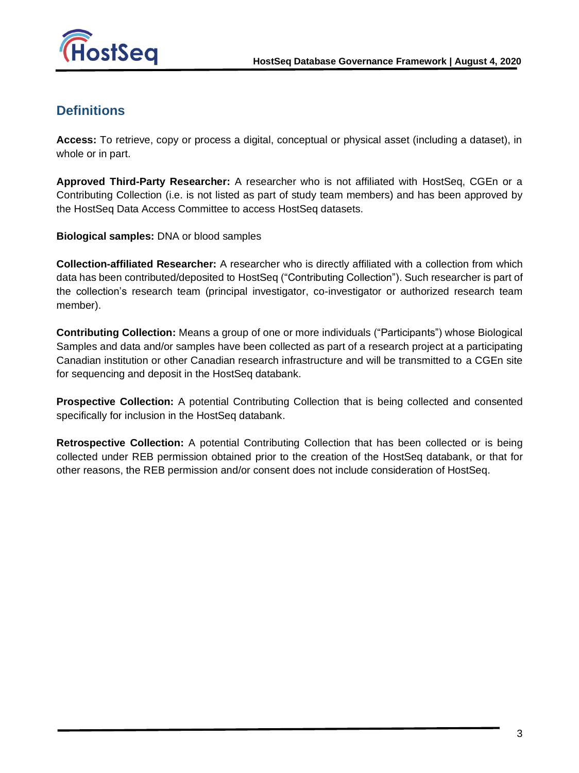

# <span id="page-3-0"></span>**Definitions**

**Access:** To retrieve, copy or process a digital, conceptual or physical asset (including a dataset), in whole or in part.

**Approved Third-Party Researcher:** A researcher who is not affiliated with HostSeq, CGEn or a Contributing Collection (i.e. is not listed as part of study team members) and has been approved by the HostSeq Data Access Committee to access HostSeq datasets.

**Biological samples:** DNA or blood samples

**Collection-affiliated Researcher:** A researcher who is directly affiliated with a collection from which data has been contributed/deposited to HostSeq ("Contributing Collection"). Such researcher is part of the collection's research team (principal investigator, co-investigator or authorized research team member).

**Contributing Collection:** Means a group of one or more individuals ("Participants") whose Biological Samples and data and/or samples have been collected as part of a research project at a participating Canadian institution or other Canadian research infrastructure and will be transmitted to a CGEn site for sequencing and deposit in the HostSeq databank.

**Prospective Collection:** A potential Contributing Collection that is being collected and consented specifically for inclusion in the HostSeq databank.

**Retrospective Collection:** A potential Contributing Collection that has been collected or is being collected under REB permission obtained prior to the creation of the HostSeq databank, or that for other reasons, the REB permission and/or consent does not include consideration of HostSeq.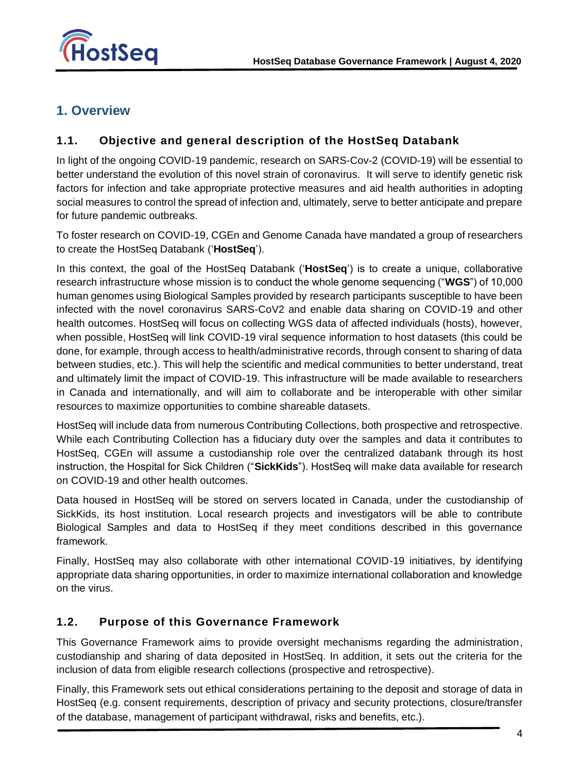

# <span id="page-4-1"></span><span id="page-4-0"></span>**1. Overview**

### **1.1. Objective and general description of the HostSeq Databank**

In light of the ongoing COVID-19 pandemic, research on SARS-Cov-2 (COVID-19) will be essential to better understand the evolution of this novel strain of coronavirus. It will serve to identify genetic risk factors for infection and take appropriate protective measures and aid health authorities in adopting social measures to control the spread of infection and, ultimately, serve to better anticipate and prepare for future pandemic outbreaks.

To foster research on COVID-19, CGEn and Genome Canada have mandated a group of researchers to create the HostSeq Databank ('**HostSeq**').

In this context, the goal of the HostSeq Databank ('**HostSeq**') is to create a unique, collaborative research infrastructure whose mission is to conduct the whole genome sequencing ("**WGS**") of 10,000 human genomes using Biological Samples provided by research participants susceptible to have been infected with the novel coronavirus SARS-CoV2 and enable data sharing on COVID-19 and other health outcomes. HostSeq will focus on collecting WGS data of affected individuals (hosts), however, when possible, HostSeq will link COVID-19 viral sequence information to host datasets (this could be done, for example, through access to health/administrative records, through consent to sharing of data between studies, etc.). This will help the scientific and medical communities to better understand, treat and ultimately limit the impact of COVID-19. This infrastructure will be made available to researchers in Canada and internationally, and will aim to collaborate and be interoperable with other similar resources to maximize opportunities to combine shareable datasets.

HostSeq will include data from numerous Contributing Collections, both prospective and retrospective. While each Contributing Collection has a fiduciary duty over the samples and data it contributes to HostSeq, CGEn will assume a custodianship role over the centralized databank through its host instruction, the Hospital for Sick Children ("**SickKids**"). HostSeq will make data available for research on COVID-19 and other health outcomes.

Data housed in HostSeq will be stored on servers located in Canada, under the custodianship of SickKids, its host institution. Local research projects and investigators will be able to contribute Biological Samples and data to HostSeq if they meet conditions described in this governance framework.

Finally, HostSeq may also collaborate with other international COVID-19 initiatives, by identifying appropriate data sharing opportunities, in order to maximize international collaboration and knowledge on the virus.

### <span id="page-4-2"></span>**1.2. Purpose of this Governance Framework**

This Governance Framework aims to provide oversight mechanisms regarding the administration, custodianship and sharing of data deposited in HostSeq. In addition, it sets out the criteria for the inclusion of data from eligible research collections (prospective and retrospective).

Finally, this Framework sets out ethical considerations pertaining to the deposit and storage of data in HostSeq (e.g. consent requirements, description of privacy and security protections, closure/transfer of the database, management of participant withdrawal, risks and benefits, etc.).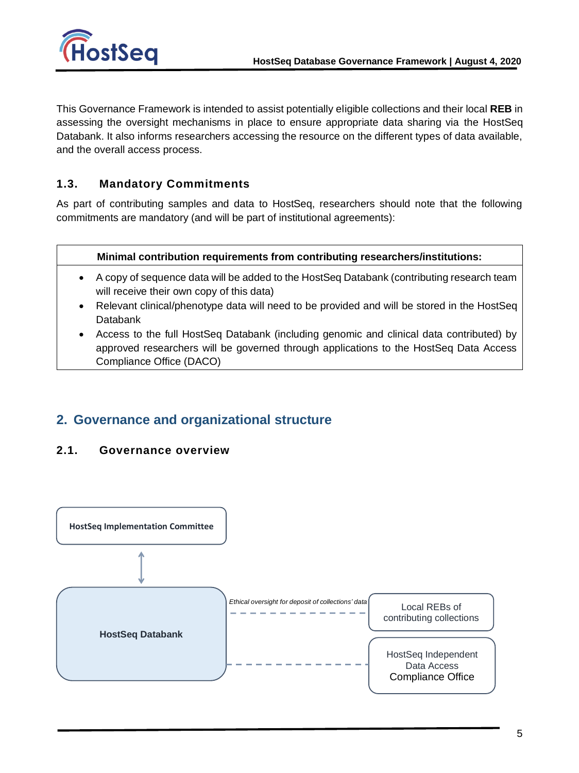

This Governance Framework is intended to assist potentially eligible collections and their local **REB** in assessing the oversight mechanisms in place to ensure appropriate data sharing via the HostSeq Databank. It also informs researchers accessing the resource on the different types of data available, and the overall access process.

### **1.3. Mandatory Commitments**

As part of contributing samples and data to HostSeq, researchers should note that the following commitments are mandatory (and will be part of institutional agreements):

#### **Minimal contribution requirements from contributing researchers/institutions:**

- A copy of sequence data will be added to the HostSeq Databank (contributing research team will receive their own copy of this data)
- Relevant clinical/phenotype data will need to be provided and will be stored in the HostSeq Databank
- <span id="page-5-0"></span>• Access to the full HostSeq Databank (including genomic and clinical data contributed) by approved researchers will be governed through applications to the HostSeq Data Access Compliance Office (DACO)

### <span id="page-5-1"></span>**2. Governance and organizational structure**

### **2.1. Governance overview**

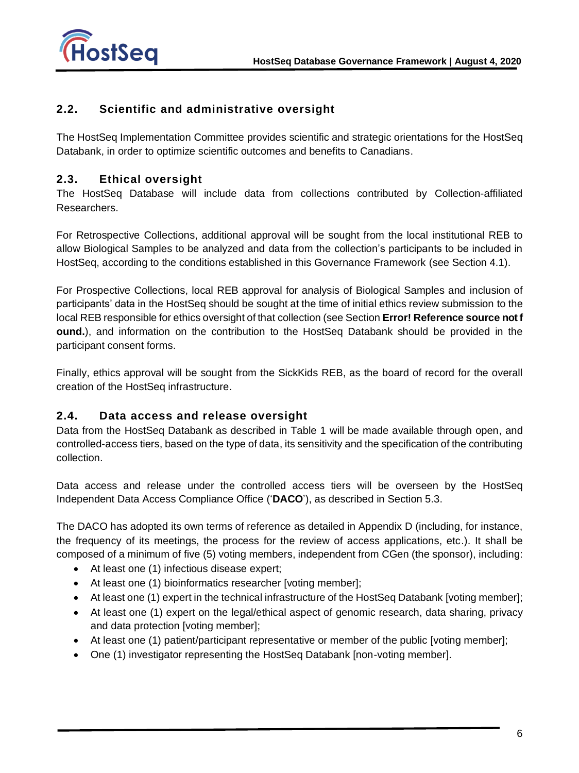

### <span id="page-6-0"></span>**2.2. Scientific and administrative oversight**

<span id="page-6-1"></span>The HostSeq Implementation Committee provides scientific and strategic orientations for the HostSeq Databank, in order to optimize scientific outcomes and benefits to Canadians.

### **2.3. Ethical oversight**

The HostSeq Database will include data from collections contributed by Collection-affiliated Researchers.

For Retrospective Collections, additional approval will be sought from the local institutional REB to allow Biological Samples to be analyzed and data from the collection's participants to be included in HostSeq, according to the conditions established in this Governance Framework (see Section [4.1\)](#page-9-2).

For Prospective Collections, local REB approval for analysis of Biological Samples and inclusion of participants' data in the HostSeq should be sought at the time of initial ethics review submission to the local REB responsible for ethics oversight of that collection (see Section **Error! Reference source not f ound.**), and information on the contribution to the HostSeq Databank should be provided in the participant consent forms.

<span id="page-6-2"></span>Finally, ethics approval will be sought from the SickKids REB, as the board of record for the overall creation of the HostSeq infrastructure.

### **2.4. Data access and release oversight**

Data from the HostSeq Databank as described in Table 1 will be made available through open, and controlled-access tiers, based on the type of data, its sensitivity and the specification of the contributing collection.

Data access and release under the controlled access tiers will be overseen by the HostSeq Independent Data Access Compliance Office ('**DACO**'), as described in Section [5.3.](#page-12-2)

The DACO has adopted its own terms of reference as detailed in Appendix D (including, for instance, the frequency of its meetings, the process for the review of access applications, etc.). It shall be composed of a minimum of five (5) voting members, independent from CGen (the sponsor), including:

- At least one (1) infectious disease expert;
- At least one (1) bioinformatics researcher [voting member];
- At least one (1) expert in the technical infrastructure of the HostSeq Databank [voting member];
- At least one (1) expert on the legal/ethical aspect of genomic research, data sharing, privacy and data protection [voting member];
- At least one (1) patient/participant representative or member of the public [voting member];
- One (1) investigator representing the HostSeq Databank [non-voting member].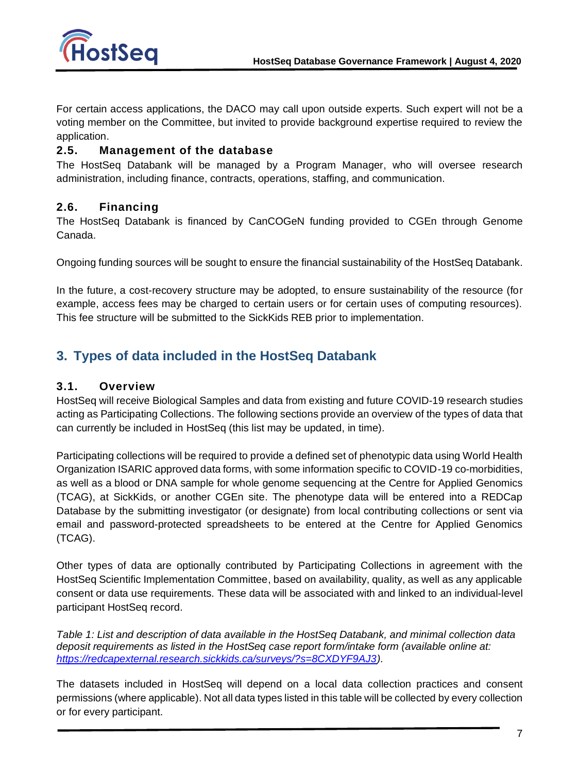

<span id="page-7-0"></span>For certain access applications, the DACO may call upon outside experts. Such expert will not be a voting member on the Committee, but invited to provide background expertise required to review the application.

### **2.5. Management of the database**

<span id="page-7-1"></span>The HostSeq Databank will be managed by a Program Manager, who will oversee research administration, including finance, contracts, operations, staffing, and communication.

### **2.6. Financing**

The HostSeq Databank is financed by CanCOGeN funding provided to CGEn through Genome Canada.

Ongoing funding sources will be sought to ensure the financial sustainability of the HostSeq Databank.

<span id="page-7-2"></span>In the future, a cost-recovery structure may be adopted, to ensure sustainability of the resource (for example, access fees may be charged to certain users or for certain uses of computing resources). This fee structure will be submitted to the SickKids REB prior to implementation.

# <span id="page-7-3"></span>**3. Types of data included in the HostSeq Databank**

### **3.1. Overview**

HostSeq will receive Biological Samples and data from existing and future COVID-19 research studies acting as Participating Collections. The following sections provide an overview of the types of data that can currently be included in HostSeq (this list may be updated, in time).

Participating collections will be required to provide a defined set of phenotypic data using World Health Organization ISARIC approved data forms, with some information specific to COVID-19 co-morbidities, as well as a blood or DNA sample for whole genome sequencing at the Centre for Applied Genomics (TCAG), at SickKids, or another CGEn site. The phenotype data will be entered into a REDCap Database by the submitting investigator (or designate) from local contributing collections or sent via email and password-protected spreadsheets to be entered at the Centre for Applied Genomics (TCAG).

Other types of data are optionally contributed by Participating Collections in agreement with the HostSeq Scientific Implementation Committee, based on availability, quality, as well as any applicable consent or data use requirements. These data will be associated with and linked to an individual-level participant HostSeq record.

*Table 1: List and description of data available in the HostSeq Databank, and minimal collection data deposit requirements as listed in the HostSeq case report form/intake form (available online at: [https://redcapexternal.research.sickkids.ca/surveys/?s=8CXDYF9AJ3\)](https://redcapexternal.research.sickkids.ca/surveys/?s=8CXDYF9AJ3).* 

The datasets included in HostSeq will depend on a local data collection practices and consent permissions (where applicable). Not all data types listed in this table will be collected by every collection or for every participant.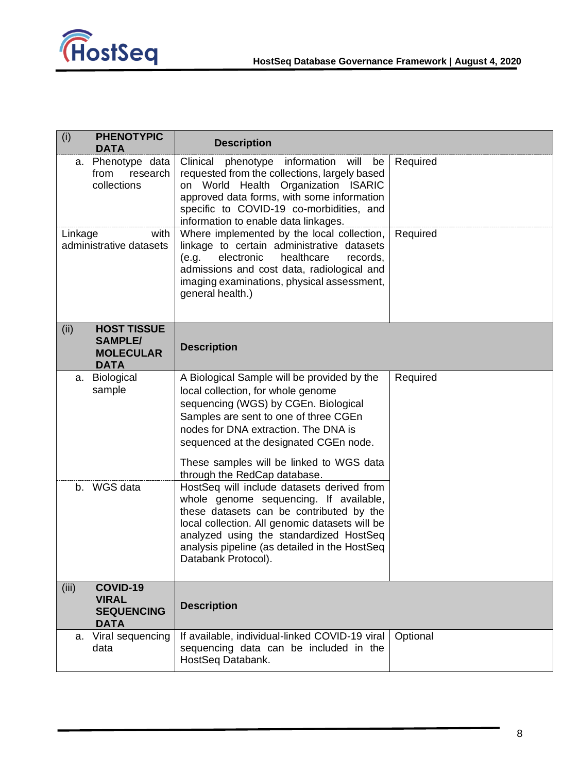

| (i)<br><b>PHENOTYPIC</b><br><b>DATA</b>                                         | <b>Description</b>                                                                                                                                                                                                                                                                                                               |          |
|---------------------------------------------------------------------------------|----------------------------------------------------------------------------------------------------------------------------------------------------------------------------------------------------------------------------------------------------------------------------------------------------------------------------------|----------|
| a. Phenotype data<br>from<br>research<br>collections                            | will<br>Clinical<br>information<br>be<br>phenotype<br>requested from the collections, largely based<br>on World Health Organization ISARIC<br>approved data forms, with some information<br>specific to COVID-19 co-morbidities, and<br>information to enable data linkages.                                                     | Required |
| Linkage<br>with<br>administrative datasets                                      | Where implemented by the local collection,<br>linkage to certain administrative datasets<br>electronic<br>healthcare<br>records,<br>(e.g.<br>admissions and cost data, radiological and<br>imaging examinations, physical assessment,<br>general health.)                                                                        | Required |
| <b>HOST TISSUE</b><br>(ii)<br><b>SAMPLE/</b><br><b>MOLECULAR</b><br><b>DATA</b> | <b>Description</b>                                                                                                                                                                                                                                                                                                               |          |
| <b>Biological</b><br>а.<br>sample                                               | A Biological Sample will be provided by the<br>local collection, for whole genome<br>sequencing (WGS) by CGEn. Biological<br>Samples are sent to one of three CGEn<br>nodes for DNA extraction. The DNA is<br>sequenced at the designated CGEn node.<br>These samples will be linked to WGS data<br>through the RedCap database. | Required |
| WGS data<br>b.                                                                  | HostSeq will include datasets derived from<br>whole genome sequencing. If available,<br>these datasets can be contributed by the<br>local collection. All genomic datasets will be<br>analyzed using the standardized HostSeq<br>analysis pipeline (as detailed in the HostSeq<br>Databank Protocol).                            |          |
| (iii)<br>COVID-19<br><b>VIRAL</b><br><b>SEQUENCING</b><br><b>DATA</b>           | <b>Description</b>                                                                                                                                                                                                                                                                                                               |          |
| Viral sequencing<br>а.<br>data                                                  | If available, individual-linked COVID-19 viral<br>sequencing data can be included in the<br>HostSeq Databank.                                                                                                                                                                                                                    | Optional |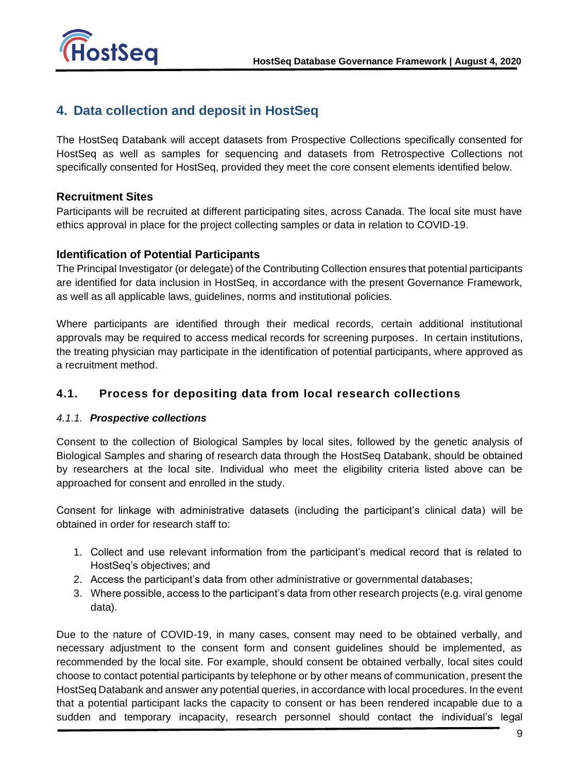

# <span id="page-9-0"></span>**4. Data collection and deposit in HostSeq**

The HostSeq Databank will accept datasets from Prospective Collections specifically consented for HostSeq as well as samples for sequencing and datasets from Retrospective Collections not specifically consented for HostSeq, provided they meet the core consent elements identified below.

### **Recruitment Sites**

Participants will be recruited at different participating sites, across Canada. The local site must have ethics approval in place for the project collecting samples or data in relation to COVID-19.

### **Identification of Potential Participants**

The Principal Investigator (or delegate) of the Contributing Collection ensures that potential participants are identified for data inclusion in HostSeq, in accordance with the present Governance Framework, as well as all applicable laws, guidelines, norms and institutional policies.

Where participants are identified through their medical records, certain additional institutional approvals may be required to access medical records for screening purposes. In certain institutions, the treating physician may participate in the identification of potential participants, where approved as a recruitment method.

### <span id="page-9-2"></span><span id="page-9-1"></span>**4.1. Process for depositing data from local research collections**

### *4.1.1. Prospective collections*

Consent to the collection of Biological Samples by local sites, followed by the genetic analysis of Biological Samples and sharing of research data through the HostSeq Databank, should be obtained by researchers at the local site. Individual who meet the eligibility criteria listed above can be approached for consent and enrolled in the study.

Consent for linkage with administrative datasets (including the participant's clinical data) will be obtained in order for research staff to:

- 1. Collect and use relevant information from the participant's medical record that is related to HostSeq's objectives; and
- 2. Access the participant's data from other administrative or governmental databases;
- 3. Where possible, access to the participant's data from other research projects (e.g. viral genome data).

Due to the nature of COVID-19, in many cases, consent may need to be obtained verbally, and necessary adjustment to the consent form and consent guidelines should be implemented, as recommended by the local site. For example, should consent be obtained verbally, local sites could choose to contact potential participants by telephone or by other means of communication, present the HostSeq Databank and answer any potential queries, in accordance with local procedures. In the event that a potential participant lacks the capacity to consent or has been rendered incapable due to a sudden and temporary incapacity, research personnel should contact the individual's legal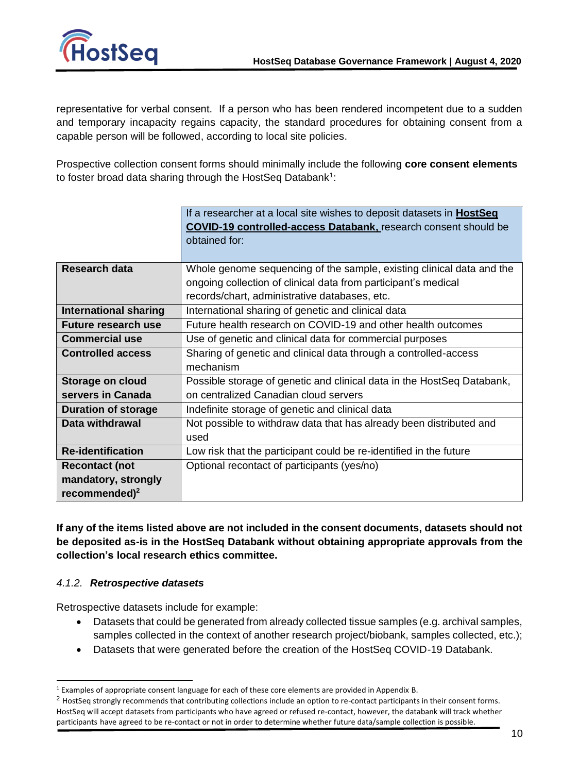

representative for verbal consent. If a person who has been rendered incompetent due to a sudden and temporary incapacity regains capacity, the standard procedures for obtaining consent from a capable person will be followed, according to local site policies.

Prospective collection consent forms should minimally include the following **core consent elements** to foster broad data sharing through the HostSeq Databank<sup>1</sup>:

|                              | If a researcher at a local site wishes to deposit datasets in <b>HostSeq</b> |  |  |
|------------------------------|------------------------------------------------------------------------------|--|--|
|                              | <b>COVID-19 controlled-access Databank, research consent should be</b>       |  |  |
|                              | obtained for:                                                                |  |  |
|                              |                                                                              |  |  |
| <b>Research data</b>         | Whole genome sequencing of the sample, existing clinical data and the        |  |  |
|                              | ongoing collection of clinical data from participant's medical               |  |  |
|                              | records/chart, administrative databases, etc.                                |  |  |
| <b>International sharing</b> | International sharing of genetic and clinical data                           |  |  |
| Future research use          | Future health research on COVID-19 and other health outcomes                 |  |  |
| <b>Commercial use</b>        | Use of genetic and clinical data for commercial purposes                     |  |  |
| <b>Controlled access</b>     | Sharing of genetic and clinical data through a controlled-access             |  |  |
|                              | mechanism                                                                    |  |  |
| Storage on cloud             | Possible storage of genetic and clinical data in the HostSeq Databank,       |  |  |
| servers in Canada            | on centralized Canadian cloud servers                                        |  |  |
| <b>Duration of storage</b>   | Indefinite storage of genetic and clinical data                              |  |  |
| Data withdrawal              | Not possible to withdraw data that has already been distributed and          |  |  |
|                              | used                                                                         |  |  |
| <b>Re-identification</b>     | Low risk that the participant could be re-identified in the future           |  |  |
| <b>Recontact (not</b>        | Optional recontact of participants (yes/no)                                  |  |  |
| mandatory, strongly          |                                                                              |  |  |
| recommended) $^2$            |                                                                              |  |  |

**If any of the items listed above are not included in the consent documents, datasets should not be deposited as-is in the HostSeq Databank without obtaining appropriate approvals from the collection's local research ethics committee.** 

### *4.1.2. Retrospective datasets*

Retrospective datasets include for example:

- Datasets that could be generated from already collected tissue samples (e.g. archival samples, samples collected in the context of another research project/biobank, samples collected, etc.);
- Datasets that were generated before the creation of the HostSeq COVID-19 Databank.

<sup>1</sup> Examples of appropriate consent language for each of these core elements are provided in Appendix B.

 $2$  HostSeq strongly recommends that contributing collections include an option to re-contact participants in their consent forms. HostSeq will accept datasets from participants who have agreed or refused re-contact, however, the databank will track whether participants have agreed to be re-contact or not in order to determine whether future data/sample collection is possible.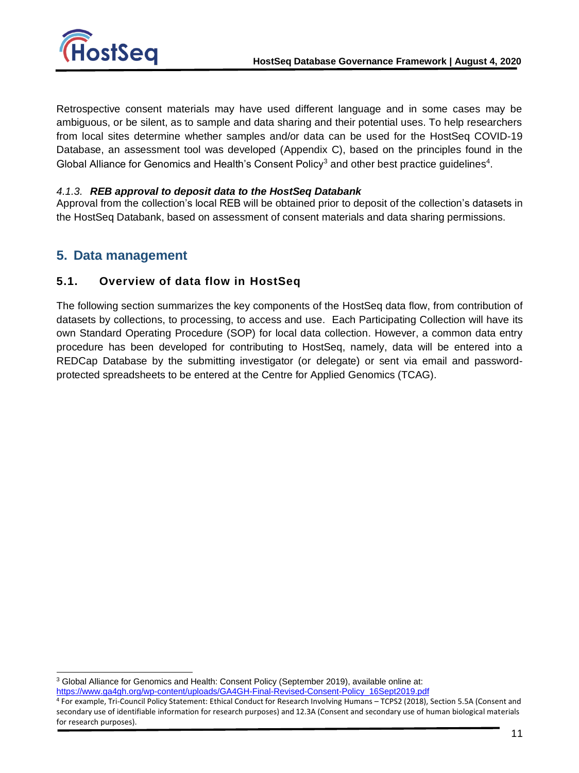

Retrospective consent materials may have used different language and in some cases may be ambiguous, or be silent, as to sample and data sharing and their potential uses. To help researchers from local sites determine whether samples and/or data can be used for the HostSeq COVID-19 Database, an assessment tool was developed (Appendix C), based on the principles found in the Global Alliance for Genomics and Health's Consent Policy<sup>3</sup> and other best practice guidelines<sup>4</sup>.

### *4.1.3. REB approval to deposit data to the HostSeq Databank*

<span id="page-11-0"></span>Approval from the collection's local REB will be obtained prior to deposit of the collection's datasets in the HostSeq Databank, based on assessment of consent materials and data sharing permissions.

### <span id="page-11-1"></span>**5. Data management**

### **5.1. Overview of data flow in HostSeq**

The following section summarizes the key components of the HostSeq data flow, from contribution of datasets by collections, to processing, to access and use. Each Participating Collection will have its own Standard Operating Procedure (SOP) for local data collection. However, a common data entry procedure has been developed for contributing to HostSeq, namely, data will be entered into a REDCap Database by the submitting investigator (or delegate) or sent via email and passwordprotected spreadsheets to be entered at the Centre for Applied Genomics (TCAG).

<sup>&</sup>lt;sup>3</sup> Global Alliance for Genomics and Health: Consent Policy (September 2019), available online at:

[https://www.ga4gh.org/wp-content/uploads/GA4GH-Final-Revised-Consent-Policy\\_16Sept2019.pdf](https://www.ga4gh.org/wp-content/uploads/GA4GH-Final-Revised-Consent-Policy_16Sept2019.pdf)

<sup>4</sup> For example, Tri-Council Policy Statement: Ethical Conduct for Research Involving Humans – TCPS2 (2018), Section 5.5A (Consent and secondary use of identifiable information for research purposes) and 12.3A (Consent and secondary use of human biological materials for research purposes).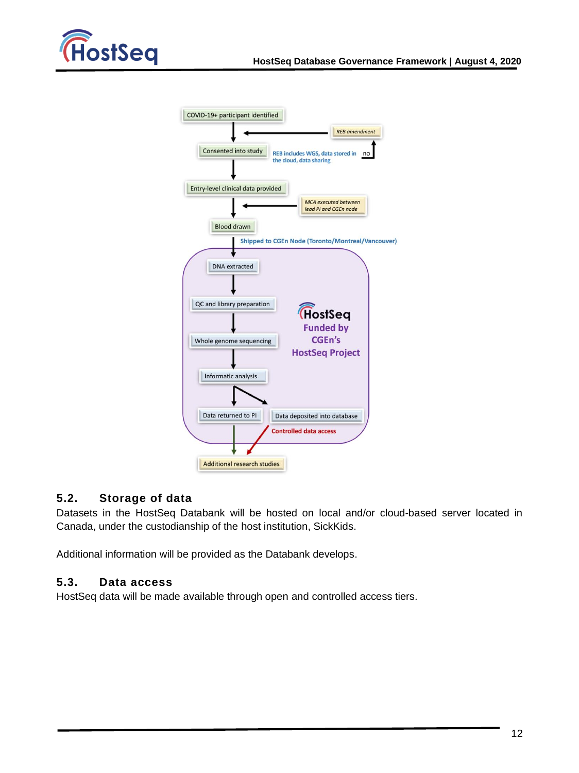

| COVID-19+ participant identified                                                                                                                        |
|---------------------------------------------------------------------------------------------------------------------------------------------------------|
| <b>REB</b> amendment                                                                                                                                    |
| Consented into study<br>REB includes WGS, data stored in<br>the cloud, data sharing                                                                     |
| Entry-level clinical data provided                                                                                                                      |
| <b>MCA</b> executed between<br>lead PI and CGEn node                                                                                                    |
| <b>Blood drawn</b>                                                                                                                                      |
| <b>Shipped to CGEn Node (Toronto/Montreal/Vancouver)</b>                                                                                                |
|                                                                                                                                                         |
| <b>DNA</b> extracted<br>QC and library preparation<br><b>HostSeq</b><br><b>Funded by</b><br>CGEn's<br>Whole genome sequencing<br><b>HostSeq Project</b> |
| Informatic analysis                                                                                                                                     |
| Data returned to PI<br>Data deposited into database                                                                                                     |
| <b>Controlled data access</b>                                                                                                                           |
| <b>Additional research studies</b>                                                                                                                      |

### <span id="page-12-0"></span>**5.2. Storage of data**

Datasets in the HostSeq Databank will be hosted on local and/or cloud-based server located in Canada, under the custodianship of the host institution, SickKids.

<span id="page-12-1"></span>Additional information will be provided as the Databank develops.

### <span id="page-12-2"></span>**5.3. Data access**

HostSeq data will be made available through open and controlled access tiers.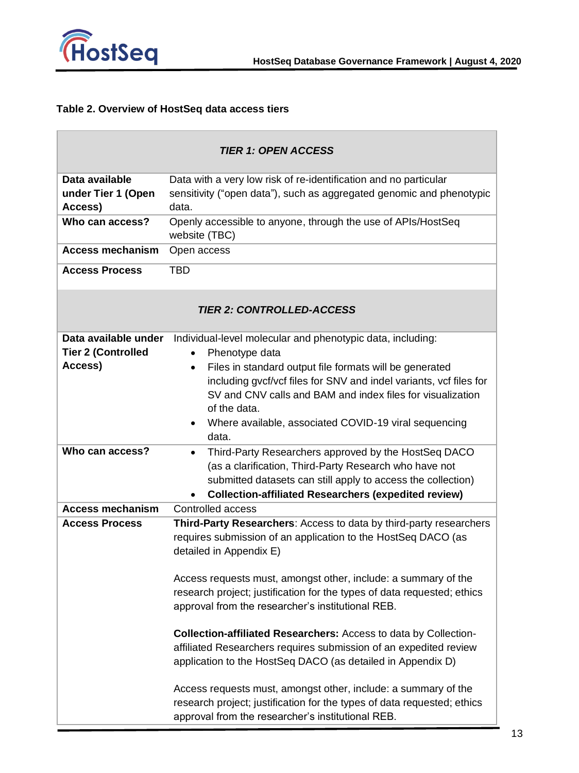

### **Table 2. Overview of HostSeq data access tiers**

| <b>TIER 1: OPEN ACCESS</b>                        |                                                                                                                                     |  |  |  |
|---------------------------------------------------|-------------------------------------------------------------------------------------------------------------------------------------|--|--|--|
| Data available                                    | Data with a very low risk of re-identification and no particular                                                                    |  |  |  |
| under Tier 1 (Open                                | sensitivity ("open data"), such as aggregated genomic and phenotypic                                                                |  |  |  |
| Access)                                           | data.                                                                                                                               |  |  |  |
| Who can access?                                   | Openly accessible to anyone, through the use of APIs/HostSeq<br>website (TBC)                                                       |  |  |  |
| <b>Access mechanism</b>                           | Open access                                                                                                                         |  |  |  |
| <b>Access Process</b>                             | <b>TBD</b>                                                                                                                          |  |  |  |
|                                                   | <b>TIER 2: CONTROLLED-ACCESS</b>                                                                                                    |  |  |  |
| Data available under<br><b>Tier 2 (Controlled</b> | Individual-level molecular and phenotypic data, including:<br>Phenotype data<br>$\bullet$                                           |  |  |  |
| Access)                                           | Files in standard output file formats will be generated<br>$\bullet$                                                                |  |  |  |
|                                                   | including gvcf/vcf files for SNV and indel variants, vcf files for                                                                  |  |  |  |
|                                                   | SV and CNV calls and BAM and index files for visualization<br>of the data.                                                          |  |  |  |
|                                                   | Where available, associated COVID-19 viral sequencing                                                                               |  |  |  |
|                                                   | data.                                                                                                                               |  |  |  |
| Who can access?                                   | Third-Party Researchers approved by the HostSeq DACO<br>$\bullet$                                                                   |  |  |  |
|                                                   | (as a clarification, Third-Party Research who have not                                                                              |  |  |  |
|                                                   | submitted datasets can still apply to access the collection)                                                                        |  |  |  |
|                                                   | <b>Collection-affiliated Researchers (expedited review)</b>                                                                         |  |  |  |
| <b>Access mechanism</b><br>Controlled access      |                                                                                                                                     |  |  |  |
| <b>Access Process</b>                             | Third-Party Researchers: Access to data by third-party researchers<br>requires submission of an application to the HostSeq DACO (as |  |  |  |
|                                                   | detailed in Appendix E)                                                                                                             |  |  |  |
|                                                   |                                                                                                                                     |  |  |  |
|                                                   | Access requests must, amongst other, include: a summary of the                                                                      |  |  |  |
|                                                   | research project; justification for the types of data requested; ethics                                                             |  |  |  |
|                                                   | approval from the researcher's institutional REB.                                                                                   |  |  |  |
|                                                   | <b>Collection-affiliated Researchers: Access to data by Collection-</b>                                                             |  |  |  |
|                                                   | affiliated Researchers requires submission of an expedited review                                                                   |  |  |  |
|                                                   | application to the HostSeq DACO (as detailed in Appendix D)                                                                         |  |  |  |
|                                                   | Access requests must, amongst other, include: a summary of the                                                                      |  |  |  |
|                                                   | research project; justification for the types of data requested; ethics                                                             |  |  |  |
|                                                   | approval from the researcher's institutional REB.                                                                                   |  |  |  |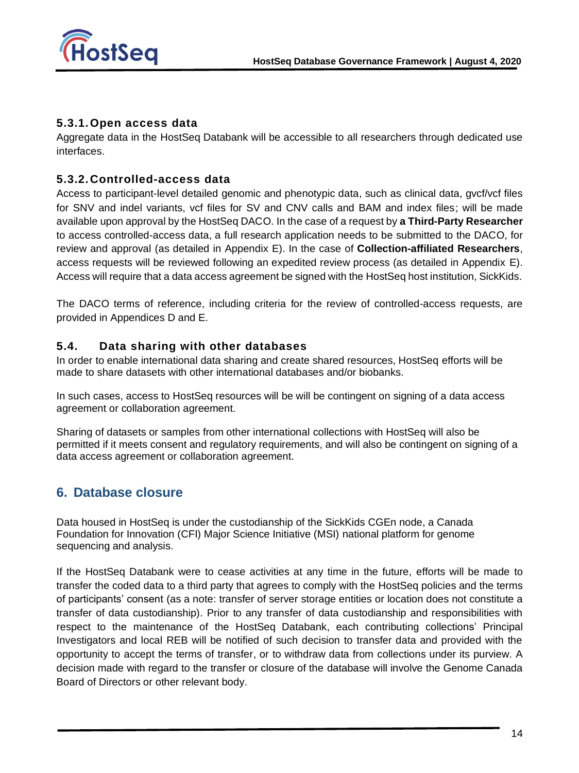

### <span id="page-14-0"></span>**5.3.1.Open access data**

<span id="page-14-1"></span>Aggregate data in the HostSeq Databank will be accessible to all researchers through dedicated use interfaces.

### **5.3.2. Controlled-access data**

Access to participant-level detailed genomic and phenotypic data, such as clinical data, gvcf/vcf files for SNV and indel variants, vcf files for SV and CNV calls and BAM and index files; will be made available upon approval by the HostSeq DACO. In the case of a request by **a Third-Party Researcher** to access controlled-access data, a full research application needs to be submitted to the DACO, for review and approval (as detailed in Appendix E). In the case of **Collection-affiliated Researchers**, access requests will be reviewed following an expedited review process (as detailed in Appendix E). Access will require that a data access agreement be signed with the HostSeq host institution, SickKids.

<span id="page-14-2"></span>The DACO terms of reference, including criteria for the review of controlled-access requests, are provided in Appendices D and E.

### **5.4. Data sharing with other databases**

In order to enable international data sharing and create shared resources, HostSeq efforts will be made to share datasets with other international databases and/or biobanks.

In such cases, access to HostSeq resources will be will be contingent on signing of a data access agreement or collaboration agreement.

<span id="page-14-3"></span>Sharing of datasets or samples from other international collections with HostSeq will also be permitted if it meets consent and regulatory requirements, and will also be contingent on signing of a data access agreement or collaboration agreement.

## <span id="page-14-4"></span>**6. Database closure**

Data housed in HostSeq is under the custodianship of the SickKids CGEn node, a Canada Foundation for Innovation (CFI) Major Science Initiative (MSI) national platform for genome sequencing and analysis.

If the HostSeq Databank were to cease activities at any time in the future, efforts will be made to transfer the coded data to a third party that agrees to comply with the HostSeq policies and the terms of participants' consent (as a note: transfer of server storage entities or location does not constitute a transfer of data custodianship). Prior to any transfer of data custodianship and responsibilities with respect to the maintenance of the HostSeq Databank, each contributing collections' Principal Investigators and local REB will be notified of such decision to transfer data and provided with the opportunity to accept the terms of transfer, or to withdraw data from collections under its purview. A decision made with regard to the transfer or closure of the database will involve the Genome Canada Board of Directors or other relevant body.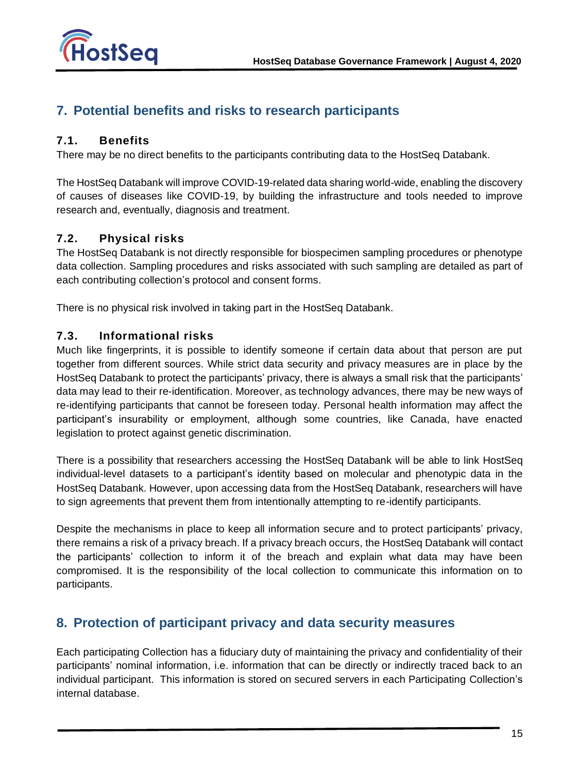

# <span id="page-15-1"></span><span id="page-15-0"></span>**7. Potential benefits and risks to research participants**

### **7.1. Benefits**

There may be no direct benefits to the participants contributing data to the HostSeq Databank.

The HostSeq Databank will improve COVID-19-related data sharing world-wide, enabling the discovery of causes of diseases like COVID-19, by building the infrastructure and tools needed to improve research and, eventually, diagnosis and treatment.

### <span id="page-15-2"></span>**7.2. Physical risks**

The HostSeq Databank is not directly responsible for biospecimen sampling procedures or phenotype data collection. Sampling procedures and risks associated with such sampling are detailed as part of each contributing collection's protocol and consent forms.

<span id="page-15-3"></span>There is no physical risk involved in taking part in the HostSeq Databank.

### **7.3. Informational risks**

Much like fingerprints, it is possible to identify someone if certain data about that person are put together from different sources. While strict data security and privacy measures are in place by the HostSeq Databank to protect the participants' privacy, there is always a small risk that the participants' data may lead to their re-identification. Moreover, as technology advances, there may be new ways of re-identifying participants that cannot be foreseen today. Personal health information may affect the participant's insurability or employment, although some countries, like Canada, have enacted legislation to protect against genetic discrimination.

There is a possibility that researchers accessing the HostSeq Databank will be able to link HostSeq individual-level datasets to a participant's identity based on molecular and phenotypic data in the HostSeq Databank. However, upon accessing data from the HostSeq Databank, researchers will have to sign agreements that prevent them from intentionally attempting to re-identify participants.

<span id="page-15-4"></span>Despite the mechanisms in place to keep all information secure and to protect participants' privacy, there remains a risk of a privacy breach. If a privacy breach occurs, the HostSeq Databank will contact the participants' collection to inform it of the breach and explain what data may have been compromised. It is the responsibility of the local collection to communicate this information on to participants.

# **8. Protection of participant privacy and data security measures**

Each participating Collection has a fiduciary duty of maintaining the privacy and confidentiality of their participants' nominal information, i.e. information that can be directly or indirectly traced back to an individual participant. This information is stored on secured servers in each Participating Collection's internal database.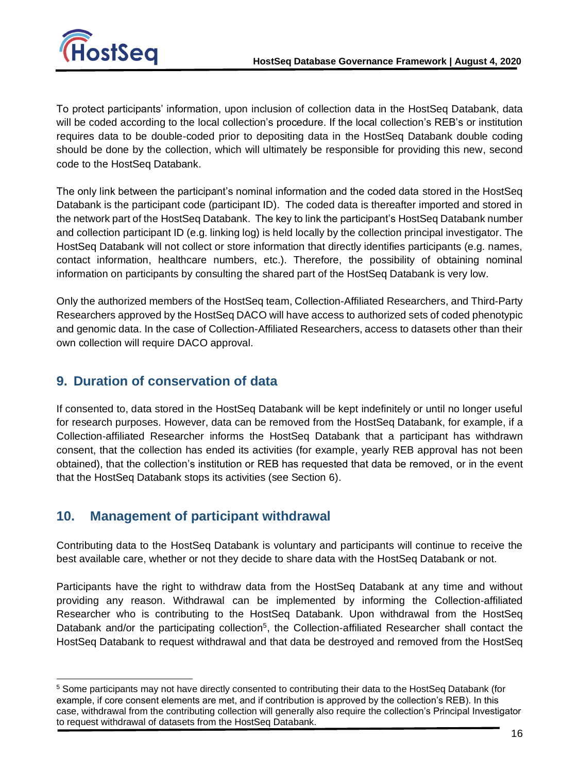

To protect participants' information, upon inclusion of collection data in the HostSeq Databank, data will be coded according to the local collection's procedure. If the local collection's REB's or institution requires data to be double-coded prior to depositing data in the HostSeq Databank double coding should be done by the collection, which will ultimately be responsible for providing this new, second code to the HostSeq Databank.

The only link between the participant's nominal information and the coded data stored in the HostSeq Databank is the participant code (participant ID). The coded data is thereafter imported and stored in the network part of the HostSeq Databank. The key to link the participant's HostSeq Databank number and collection participant ID (e.g. linking log) is held locally by the collection principal investigator. The HostSeq Databank will not collect or store information that directly identifies participants (e.g. names, contact information, healthcare numbers, etc.). Therefore, the possibility of obtaining nominal information on participants by consulting the shared part of the HostSeq Databank is very low.

<span id="page-16-0"></span>Only the authorized members of the HostSeq team, Collection-Affiliated Researchers, and Third-Party Researchers approved by the HostSeq DACO will have access to authorized sets of coded phenotypic and genomic data. In the case of Collection-Affiliated Researchers, access to datasets other than their own collection will require DACO approval.

# **9. Duration of conservation of data**

If consented to, data stored in the HostSeq Databank will be kept indefinitely or until no longer useful for research purposes. However, data can be removed from the HostSeq Databank, for example, if a Collection-affiliated Researcher informs the HostSeq Databank that a participant has withdrawn consent, that the collection has ended its activities (for example, yearly REB approval has not been obtained), that the collection's institution or REB has requested that data be removed, or in the event that the HostSeq Databank stops its activities (see Section [6\)](#page-14-4).

# <span id="page-16-1"></span>**10. Management of participant withdrawal**

Contributing data to the HostSeq Databank is voluntary and participants will continue to receive the best available care, whether or not they decide to share data with the HostSeq Databank or not.

Participants have the right to withdraw data from the HostSeq Databank at any time and without providing any reason. Withdrawal can be implemented by informing the Collection-affiliated Researcher who is contributing to the HostSeq Databank. Upon withdrawal from the HostSeq Databank and/or the participating collection<sup>5</sup>, the Collection-affiliated Researcher shall contact the HostSeq Databank to request withdrawal and that data be destroyed and removed from the HostSeq

<sup>&</sup>lt;sup>5</sup> Some participants may not have directly consented to contributing their data to the HostSeq Databank (for example, if core consent elements are met, and if contribution is approved by the collection's REB). In this case, withdrawal from the contributing collection will generally also require the collection's Principal Investigator to request withdrawal of datasets from the HostSeq Databank.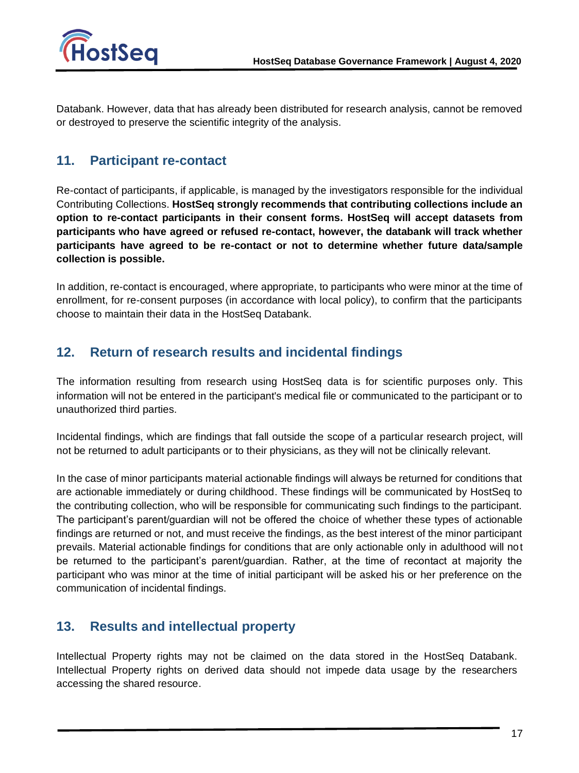

<span id="page-17-0"></span>Databank. However, data that has already been distributed for research analysis, cannot be removed or destroyed to preserve the scientific integrity of the analysis.

# **11. Participant re-contact**

Re-contact of participants, if applicable, is managed by the investigators responsible for the individual Contributing Collections. **HostSeq strongly recommends that contributing collections include an option to re-contact participants in their consent forms. HostSeq will accept datasets from participants who have agreed or refused re-contact, however, the databank will track whether participants have agreed to be re-contact or not to determine whether future data/sample collection is possible.**

<span id="page-17-1"></span>In addition, re-contact is encouraged, where appropriate, to participants who were minor at the time of enrollment, for re-consent purposes (in accordance with local policy), to confirm that the participants choose to maintain their data in the HostSeq Databank.

# **12. Return of research results and incidental findings**

The information resulting from research using HostSeq data is for scientific purposes only. This information will not be entered in the participant's medical file or communicated to the participant or to unauthorized third parties.

Incidental findings, which are findings that fall outside the scope of a particular research project, will not be returned to adult participants or to their physicians, as they will not be clinically relevant.

In the case of minor participants material actionable findings will always be returned for conditions that are actionable immediately or during childhood. These findings will be communicated by HostSeq to the contributing collection, who will be responsible for communicating such findings to the participant. The participant's parent/guardian will not be offered the choice of whether these types of actionable findings are returned or not, and must receive the findings, as the best interest of the minor participant prevails. Material actionable findings for conditions that are only actionable only in adulthood will not be returned to the participant's parent/guardian. Rather, at the time of recontact at majority the participant who was minor at the time of initial participant will be asked his or her preference on the communication of incidental findings.

# <span id="page-17-2"></span>**13. Results and intellectual property**

Intellectual Property rights may not be claimed on the data stored in the HostSeq Databank. Intellectual Property rights on derived data should not impede data usage by the researchers accessing the shared resource.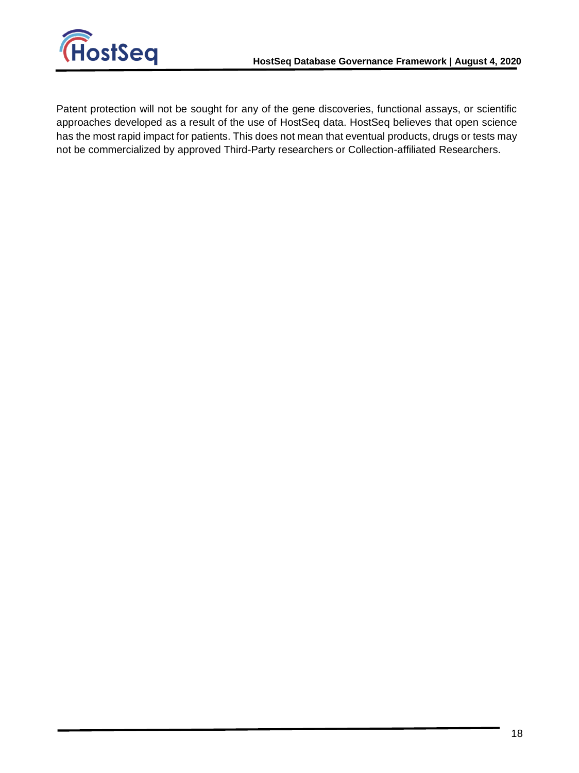

Patent protection will not be sought for any of the gene discoveries, functional assays, or scientific approaches developed as a result of the use of HostSeq data. HostSeq believes that open science has the most rapid impact for patients. This does not mean that eventual products, drugs or tests may not be commercialized by approved Third-Party researchers or Collection-affiliated Researchers.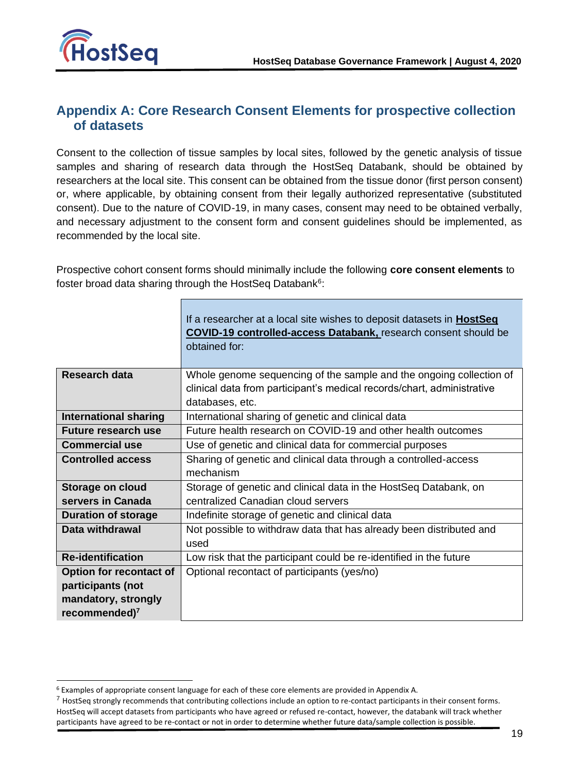

# <span id="page-19-0"></span>**Appendix A: Core Research Consent Elements for prospective collection of datasets**

Consent to the collection of tissue samples by local sites, followed by the genetic analysis of tissue samples and sharing of research data through the HostSeq Databank, should be obtained by researchers at the local site. This consent can be obtained from the tissue donor (first person consent) or, where applicable, by obtaining consent from their legally authorized representative (substituted consent). Due to the nature of COVID-19, in many cases, consent may need to be obtained verbally, and necessary adjustment to the consent form and consent guidelines should be implemented, as recommended by the local site.

Prospective cohort consent forms should minimally include the following **core consent elements** to foster broad data sharing through the HostSeq Databank<sup>6</sup>:

|                              | If a researcher at a local site wishes to deposit datasets in <b>HostSeq</b><br><b>COVID-19 controlled-access Databank, research consent should be</b><br>obtained for: |  |
|------------------------------|-------------------------------------------------------------------------------------------------------------------------------------------------------------------------|--|
| <b>Research data</b>         | Whole genome sequencing of the sample and the ongoing collection of                                                                                                     |  |
|                              | clinical data from participant's medical records/chart, administrative                                                                                                  |  |
|                              | databases, etc.                                                                                                                                                         |  |
| <b>International sharing</b> | International sharing of genetic and clinical data                                                                                                                      |  |
| <b>Future research use</b>   | Future health research on COVID-19 and other health outcomes                                                                                                            |  |
| <b>Commercial use</b>        | Use of genetic and clinical data for commercial purposes                                                                                                                |  |
| <b>Controlled access</b>     | Sharing of genetic and clinical data through a controlled-access                                                                                                        |  |
|                              | mechanism                                                                                                                                                               |  |
| Storage on cloud             | Storage of genetic and clinical data in the HostSeq Databank, on                                                                                                        |  |
| servers in Canada            | centralized Canadian cloud servers                                                                                                                                      |  |
| <b>Duration of storage</b>   | Indefinite storage of genetic and clinical data                                                                                                                         |  |
| Data withdrawal              | Not possible to withdraw data that has already been distributed and                                                                                                     |  |
|                              | used                                                                                                                                                                    |  |
| <b>Re-identification</b>     | Low risk that the participant could be re-identified in the future                                                                                                      |  |
| Option for recontact of      | Optional recontact of participants (yes/no)                                                                                                                             |  |
| participants (not            |                                                                                                                                                                         |  |
| mandatory, strongly          |                                                                                                                                                                         |  |
| recommended) $7$             |                                                                                                                                                                         |  |

<sup>6</sup> Examples of appropriate consent language for each of these core elements are provided in Appendix A.

 $^7$  HostSeq strongly recommends that contributing collections include an option to re-contact participants in their consent forms. HostSeq will accept datasets from participants who have agreed or refused re-contact, however, the databank will track whether participants have agreed to be re-contact or not in order to determine whether future data/sample collection is possible.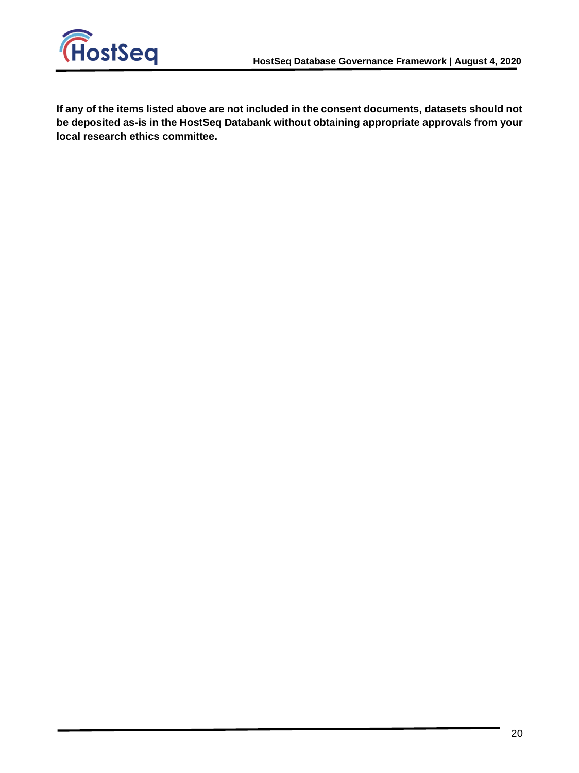

**If any of the items listed above are not included in the consent documents, datasets should not be deposited as-is in the HostSeq Databank without obtaining appropriate approvals from your local research ethics committee.**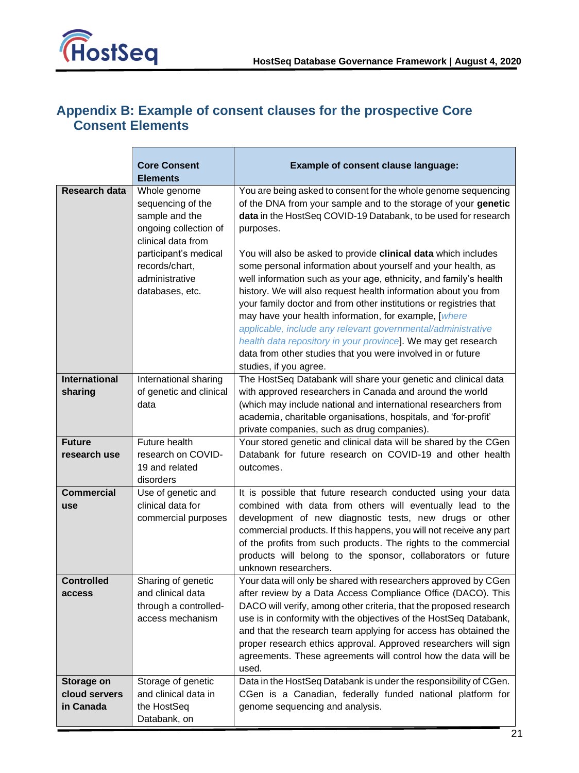

# <span id="page-21-0"></span>**Appendix B: Example of consent clauses for the prospective Core Consent Elements**

|                                          | <b>Core Consent</b><br><b>Elements</b>                                                             | <b>Example of consent clause language:</b>                                                                                                                                                                                                                                                                                                                                                                                                                                                                                                                                                                                     |
|------------------------------------------|----------------------------------------------------------------------------------------------------|--------------------------------------------------------------------------------------------------------------------------------------------------------------------------------------------------------------------------------------------------------------------------------------------------------------------------------------------------------------------------------------------------------------------------------------------------------------------------------------------------------------------------------------------------------------------------------------------------------------------------------|
| Research data                            | Whole genome<br>sequencing of the<br>sample and the<br>ongoing collection of<br>clinical data from | You are being asked to consent for the whole genome sequencing<br>of the DNA from your sample and to the storage of your genetic<br>data in the HostSeq COVID-19 Databank, to be used for research<br>purposes.                                                                                                                                                                                                                                                                                                                                                                                                                |
|                                          | participant's medical<br>records/chart,<br>administrative<br>databases, etc.                       | You will also be asked to provide clinical data which includes<br>some personal information about yourself and your health, as<br>well information such as your age, ethnicity, and family's health<br>history. We will also request health information about you from<br>your family doctor and from other institutions or registries that<br>may have your health information, for example, [where<br>applicable, include any relevant governmental/administrative<br>health data repository in your province]. We may get research<br>data from other studies that you were involved in or future<br>studies, if you agree. |
| <b>International</b><br>sharing          | International sharing<br>of genetic and clinical<br>data                                           | The HostSeq Databank will share your genetic and clinical data<br>with approved researchers in Canada and around the world<br>(which may include national and international researchers from<br>academia, charitable organisations, hospitals, and 'for-profit'<br>private companies, such as drug companies).                                                                                                                                                                                                                                                                                                                 |
| <b>Future</b><br>research use            | Future health<br>research on COVID-<br>19 and related<br>disorders                                 | Your stored genetic and clinical data will be shared by the CGen<br>Databank for future research on COVID-19 and other health<br>outcomes.                                                                                                                                                                                                                                                                                                                                                                                                                                                                                     |
| <b>Commercial</b><br>use                 | Use of genetic and<br>clinical data for<br>commercial purposes                                     | It is possible that future research conducted using your data<br>combined with data from others will eventually lead to the<br>development of new diagnostic tests, new drugs or other<br>commercial products. If this happens, you will not receive any part<br>of the profits from such products. The rights to the commercial<br>products will belong to the sponsor, collaborators or future<br>unknown researchers.                                                                                                                                                                                                       |
| <b>Controlled</b><br>access              | Sharing of genetic<br>and clinical data<br>through a controlled-<br>access mechanism               | Your data will only be shared with researchers approved by CGen<br>after review by a Data Access Compliance Office (DACO). This<br>DACO will verify, among other criteria, that the proposed research<br>use is in conformity with the objectives of the HostSeq Databank,<br>and that the research team applying for access has obtained the<br>proper research ethics approval. Approved researchers will sign<br>agreements. These agreements will control how the data will be<br>used.                                                                                                                                    |
| Storage on<br>cloud servers<br>in Canada | Storage of genetic<br>and clinical data in<br>the HostSeq<br>Databank, on                          | Data in the HostSeq Databank is under the responsibility of CGen.<br>CGen is a Canadian, federally funded national platform for<br>genome sequencing and analysis.                                                                                                                                                                                                                                                                                                                                                                                                                                                             |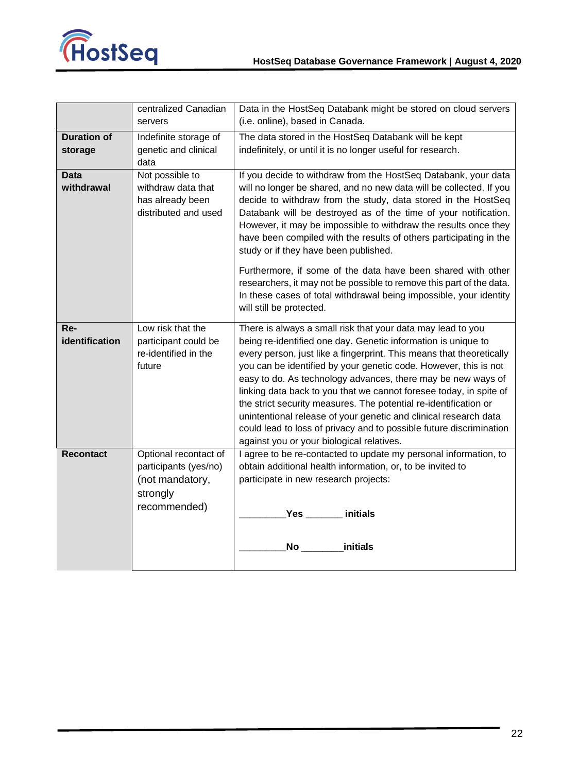

|                    | centralized Canadian                     | Data in the HostSeq Databank might be stored on cloud servers                                                                              |  |  |
|--------------------|------------------------------------------|--------------------------------------------------------------------------------------------------------------------------------------------|--|--|
|                    | servers                                  | (i.e. online), based in Canada.                                                                                                            |  |  |
| <b>Duration of</b> | Indefinite storage of                    | The data stored in the HostSeq Databank will be kept                                                                                       |  |  |
| storage            | genetic and clinical                     | indefinitely, or until it is no longer useful for research.                                                                                |  |  |
|                    | data                                     |                                                                                                                                            |  |  |
| <b>Data</b>        | Not possible to                          | If you decide to withdraw from the HostSeq Databank, your data                                                                             |  |  |
| withdrawal         | withdraw data that                       | will no longer be shared, and no new data will be collected. If you                                                                        |  |  |
|                    | has already been<br>distributed and used | decide to withdraw from the study, data stored in the HostSeq                                                                              |  |  |
|                    |                                          | Databank will be destroyed as of the time of your notification.<br>However, it may be impossible to withdraw the results once they         |  |  |
|                    |                                          | have been compiled with the results of others participating in the                                                                         |  |  |
|                    |                                          | study or if they have been published.                                                                                                      |  |  |
|                    |                                          |                                                                                                                                            |  |  |
|                    |                                          | Furthermore, if some of the data have been shared with other                                                                               |  |  |
|                    |                                          | researchers, it may not be possible to remove this part of the data.<br>In these cases of total withdrawal being impossible, your identity |  |  |
|                    |                                          | will still be protected.                                                                                                                   |  |  |
|                    |                                          |                                                                                                                                            |  |  |
| Re-                | Low risk that the                        | There is always a small risk that your data may lead to you                                                                                |  |  |
| identification     | participant could be                     | being re-identified one day. Genetic information is unique to                                                                              |  |  |
|                    | re-identified in the<br>future           | every person, just like a fingerprint. This means that theoretically<br>you can be identified by your genetic code. However, this is not   |  |  |
|                    |                                          | easy to do. As technology advances, there may be new ways of                                                                               |  |  |
|                    |                                          | linking data back to you that we cannot foresee today, in spite of                                                                         |  |  |
|                    |                                          | the strict security measures. The potential re-identification or                                                                           |  |  |
|                    |                                          | unintentional release of your genetic and clinical research data                                                                           |  |  |
|                    |                                          | could lead to loss of privacy and to possible future discrimination                                                                        |  |  |
|                    |                                          | against you or your biological relatives.                                                                                                  |  |  |
| <b>Recontact</b>   | Optional recontact of                    | I agree to be re-contacted to update my personal information, to                                                                           |  |  |
|                    | participants (yes/no)                    | obtain additional health information, or, to be invited to                                                                                 |  |  |
|                    | (not mandatory,                          | participate in new research projects:                                                                                                      |  |  |
|                    | strongly                                 |                                                                                                                                            |  |  |
|                    | recommended)                             | initials<br>Yes                                                                                                                            |  |  |
|                    |                                          |                                                                                                                                            |  |  |
|                    |                                          | initials<br>No                                                                                                                             |  |  |
|                    |                                          |                                                                                                                                            |  |  |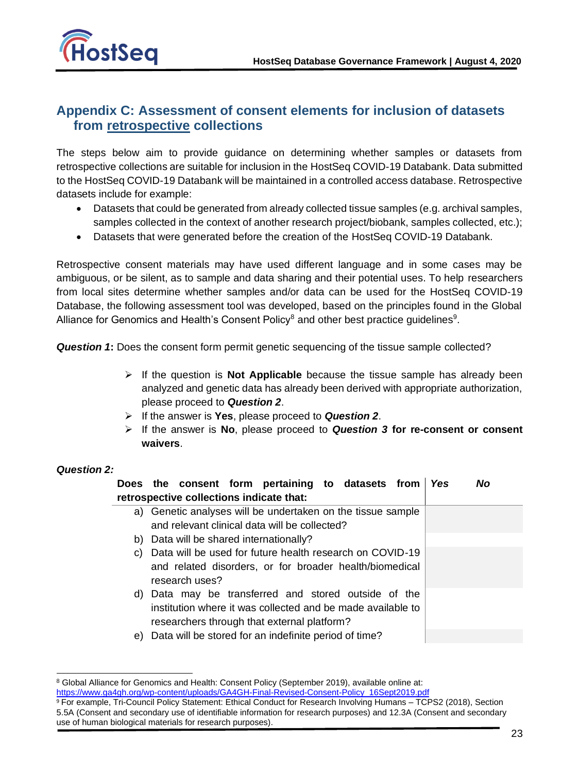

## <span id="page-23-0"></span>**Appendix C: Assessment of consent elements for inclusion of datasets from retrospective collections**

The steps below aim to provide guidance on determining whether samples or datasets from retrospective collections are suitable for inclusion in the HostSeq COVID-19 Databank. Data submitted to the HostSeq COVID-19 Databank will be maintained in a controlled access database. Retrospective datasets include for example:

- Datasets that could be generated from already collected tissue samples (e.g. archival samples, samples collected in the context of another research project/biobank, samples collected, etc.);
- Datasets that were generated before the creation of the HostSeq COVID-19 Databank.

Retrospective consent materials may have used different language and in some cases may be ambiguous, or be silent, as to sample and data sharing and their potential uses. To help researchers from local sites determine whether samples and/or data can be used for the HostSeq COVID-19 Database, the following assessment tool was developed, based on the principles found in the Global Alliance for Genomics and Health's Consent Policy<sup>8</sup> and other best practice guidelines<sup>9</sup>.

**Question 1:** Does the consent form permit genetic sequencing of the tissue sample collected?

- ➢ If the question is **Not Applicable** because the tissue sample has already been analyzed and genetic data has already been derived with appropriate authorization, please proceed to *Question 2*.
- ➢ If the answer is **Yes**, please proceed to *Question 2*.
- ➢ If the answer is **No**, please proceed to *Question 3* **for re-consent or consent waivers**.

### *Question 2:*

|    | Does the consent form pertaining to datasets from<br>retrospective collections indicate that: | Yes | No |
|----|-----------------------------------------------------------------------------------------------|-----|----|
|    | a) Genetic analyses will be undertaken on the tissue sample                                   |     |    |
|    | and relevant clinical data will be collected?                                                 |     |    |
|    | b) Data will be shared internationally?                                                       |     |    |
| C) | Data will be used for future health research on COVID-19                                      |     |    |
|    | and related disorders, or for broader health/biomedical<br>research uses?                     |     |    |
|    | d) Data may be transferred and stored outside of the                                          |     |    |
|    | institution where it was collected and be made available to                                   |     |    |
|    | researchers through that external platform?                                                   |     |    |
| e) | Data will be stored for an indefinite period of time?                                         |     |    |

<sup>8</sup> Global Alliance for Genomics and Health: Consent Policy (September 2019), available online at: [https://www.ga4gh.org/wp-content/uploads/GA4GH-Final-Revised-Consent-Policy\\_16Sept2019.pdf](https://www.ga4gh.org/wp-content/uploads/GA4GH-Final-Revised-Consent-Policy_16Sept2019.pdf)

<sup>9</sup> For example, Tri-Council Policy Statement: Ethical Conduct for Research Involving Humans – TCPS2 (2018), Section 5.5A (Consent and secondary use of identifiable information for research purposes) and 12.3A (Consent and secondary use of human biological materials for research purposes).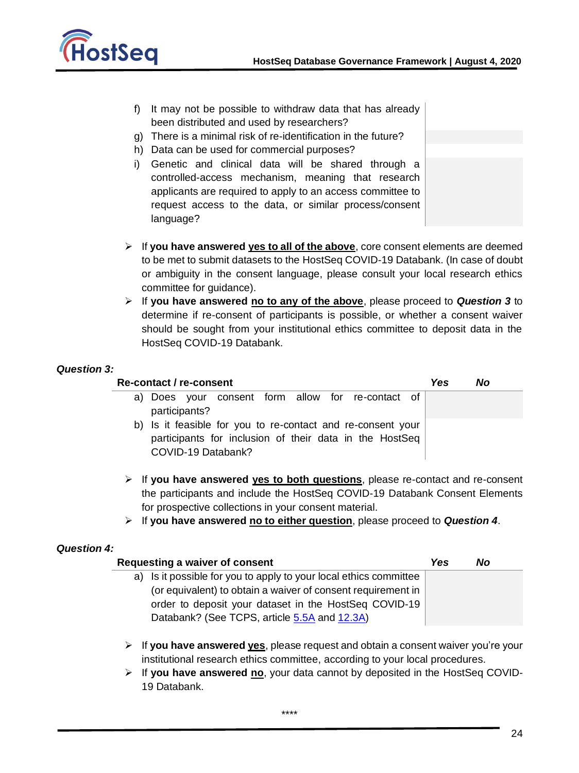

- f) It may not be possible to withdraw data that has already been distributed and used by researchers?
- g) There is a minimal risk of re-identification in the future?
- h) Data can be used for commercial purposes?
- i) Genetic and clinical data will be shared through a controlled-access mechanism, meaning that research applicants are required to apply to an access committee to request access to the data, or similar process/consent language?
- ➢ If **you have answered yes to all of the above**, core consent elements are deemed to be met to submit datasets to the HostSeq COVID-19 Databank. (In case of doubt or ambiguity in the consent language, please consult your local research ethics committee for guidance).
- ➢ If **you have answered no to any of the above**, please proceed to *Question 3* to determine if re-consent of participants is possible, or whether a consent waiver should be sought from your institutional ethics committee to deposit data in the HostSeq COVID-19 Databank.

#### *Question 3:*

#### **Re-contact / re-consent** *Yes No*

- a) Does your consent form allow for re-contact of participants? b) Is it feasible for you to re-contact and re-consent your participants for inclusion of their data in the HostSeq COVID-19 Databank?
- ➢ If **you have answered yes to both questions**, please re-contact and re-consent the participants and include the HostSeq COVID-19 Databank Consent Elements for prospective collections in your consent material.
- ➢ If **you have answered no to either question**, please proceed to *Question 4*.

#### *Question 4:*

| Requesting a waiver of consent                                    | Yes | No |
|-------------------------------------------------------------------|-----|----|
| a) Is it possible for you to apply to your local ethics committee |     |    |
| (or equivalent) to obtain a waiver of consent requirement in      |     |    |
| order to deposit your dataset in the HostSeq COVID-19             |     |    |
| Databank? (See TCPS, article 5.5A and 12.3A)                      |     |    |

- ➢ If **you have answered yes**, please request and obtain a consent waiver you're your institutional research ethics committee, according to your local procedures.
- ➢ If **you have answered no**, your data cannot by deposited in the HostSeq COVID-19 Databank.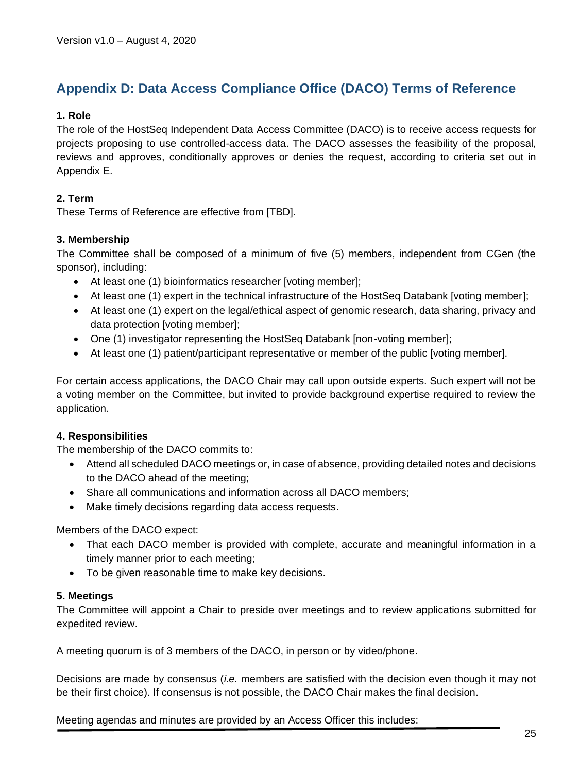# <span id="page-25-0"></span>**Appendix D: Data Access Compliance Office (DACO) Terms of Reference**

### **1. Role**

The role of the HostSeq Independent Data Access Committee (DACO) is to receive access requests for projects proposing to use controlled-access data. The DACO assesses the feasibility of the proposal, reviews and approves, conditionally approves or denies the request, according to criteria set out in Appendix E.

### **2. Term**

These Terms of Reference are effective from [TBD].

### **3. Membership**

The Committee shall be composed of a minimum of five (5) members, independent from CGen (the sponsor), including:

- At least one (1) bioinformatics researcher [voting member];
- At least one (1) expert in the technical infrastructure of the HostSeq Databank [voting member];
- At least one (1) expert on the legal/ethical aspect of genomic research, data sharing, privacy and data protection [voting member];
- One (1) investigator representing the HostSeq Databank [non-voting member];
- At least one (1) patient/participant representative or member of the public [voting member].

For certain access applications, the DACO Chair may call upon outside experts. Such expert will not be a voting member on the Committee, but invited to provide background expertise required to review the application.

### **4. Responsibilities**

The membership of the DACO commits to:

- Attend all scheduled DACO meetings or, in case of absence, providing detailed notes and decisions to the DACO ahead of the meeting;
- Share all communications and information across all DACO members;
- Make timely decisions regarding data access requests.

Members of the DACO expect:

- That each DACO member is provided with complete, accurate and meaningful information in a timely manner prior to each meeting;
- To be given reasonable time to make key decisions.

### **5. Meetings**

The Committee will appoint a Chair to preside over meetings and to review applications submitted for expedited review.

A meeting quorum is of 3 members of the DACO, in person or by video/phone.

Decisions are made by consensus (*i.e.* members are satisfied with the decision even though it may not be their first choice). If consensus is not possible, the DACO Chair makes the final decision.

Meeting agendas and minutes are provided by an Access Officer this includes: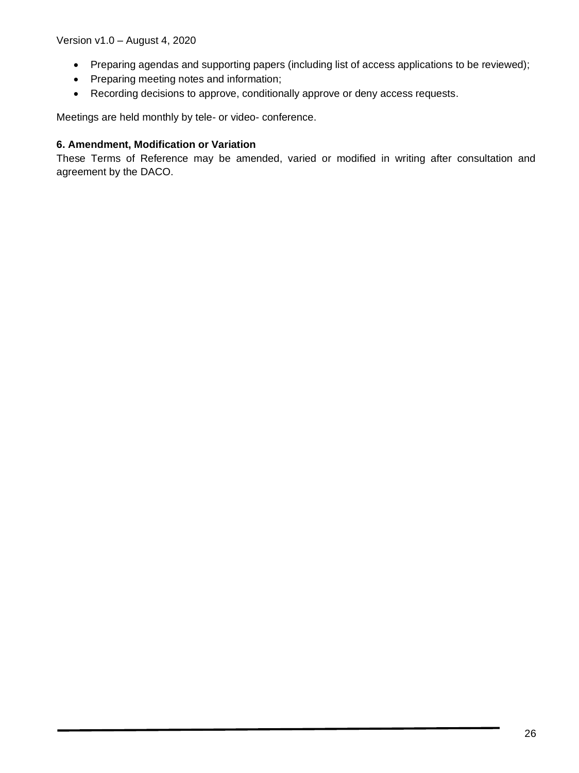- Preparing agendas and supporting papers (including list of access applications to be reviewed);
- Preparing meeting notes and information;
- Recording decisions to approve, conditionally approve or deny access requests.

Meetings are held monthly by tele- or video- conference.

### **6. Amendment, Modification or Variation**

These Terms of Reference may be amended, varied or modified in writing after consultation and agreement by the DACO.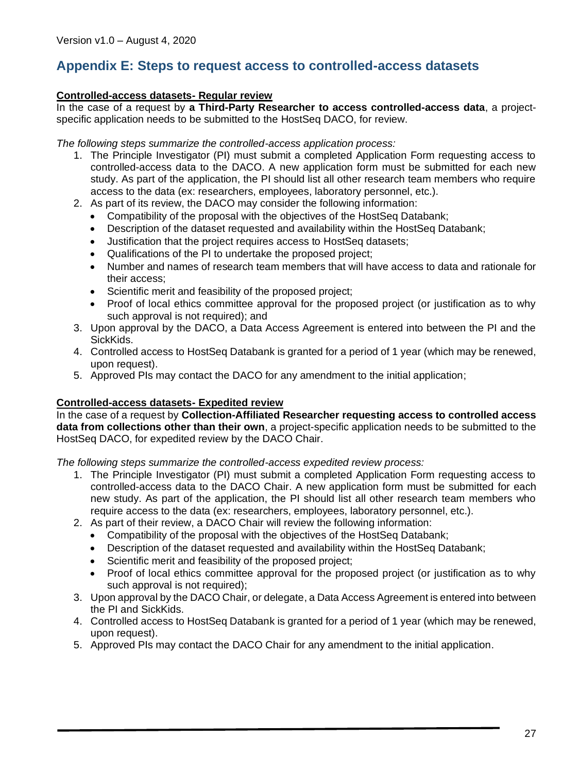# <span id="page-27-0"></span>**Appendix E: Steps to request access to controlled-access datasets**

### **Controlled-access datasets- Regular review**

In the case of a request by **a Third-Party Researcher to access controlled-access data**, a projectspecific application needs to be submitted to the HostSeq DACO, for review.

*The following steps summarize the controlled-access application process:* 

- 1. The Principle Investigator (PI) must submit a completed Application Form requesting access to controlled-access data to the DACO. A new application form must be submitted for each new study. As part of the application, the PI should list all other research team members who require access to the data (ex: researchers, employees, laboratory personnel, etc.).
- 2. As part of its review, the DACO may consider the following information:
	- Compatibility of the proposal with the objectives of the HostSeq Databank;
	- Description of the dataset requested and availability within the HostSeq Databank;
	- Justification that the project requires access to HostSeq datasets;
	- Qualifications of the PI to undertake the proposed project;
	- Number and names of research team members that will have access to data and rationale for their access;
	- Scientific merit and feasibility of the proposed project;
	- Proof of local ethics committee approval for the proposed project (or justification as to why such approval is not required); and
- 3. Upon approval by the DACO, a Data Access Agreement is entered into between the PI and the SickKids.
- 4. Controlled access to HostSeq Databank is granted for a period of 1 year (which may be renewed, upon request).
- 5. Approved PIs may contact the DACO for any amendment to the initial application;

### **Controlled-access datasets- Expedited review**

In the case of a request by **Collection-Affiliated Researcher requesting access to controlled access data from collections other than their own**, a project-specific application needs to be submitted to the HostSeq DACO, for expedited review by the DACO Chair.

*The following steps summarize the controlled-access expedited review process:* 

- 1. The Principle Investigator (PI) must submit a completed Application Form requesting access to controlled-access data to the DACO Chair. A new application form must be submitted for each new study. As part of the application, the PI should list all other research team members who require access to the data (ex: researchers, employees, laboratory personnel, etc.).
- 2. As part of their review, a DACO Chair will review the following information:
	- Compatibility of the proposal with the objectives of the HostSeq Databank;
	- Description of the dataset requested and availability within the HostSeq Databank;
	- Scientific merit and feasibility of the proposed project;
	- Proof of local ethics committee approval for the proposed project (or justification as to why such approval is not required);
- 3. Upon approval by the DACO Chair, or delegate, a Data Access Agreement is entered into between the PI and SickKids.
- 4. Controlled access to HostSeq Databank is granted for a period of 1 year (which may be renewed, upon request).
- 5. Approved PIs may contact the DACO Chair for any amendment to the initial application.